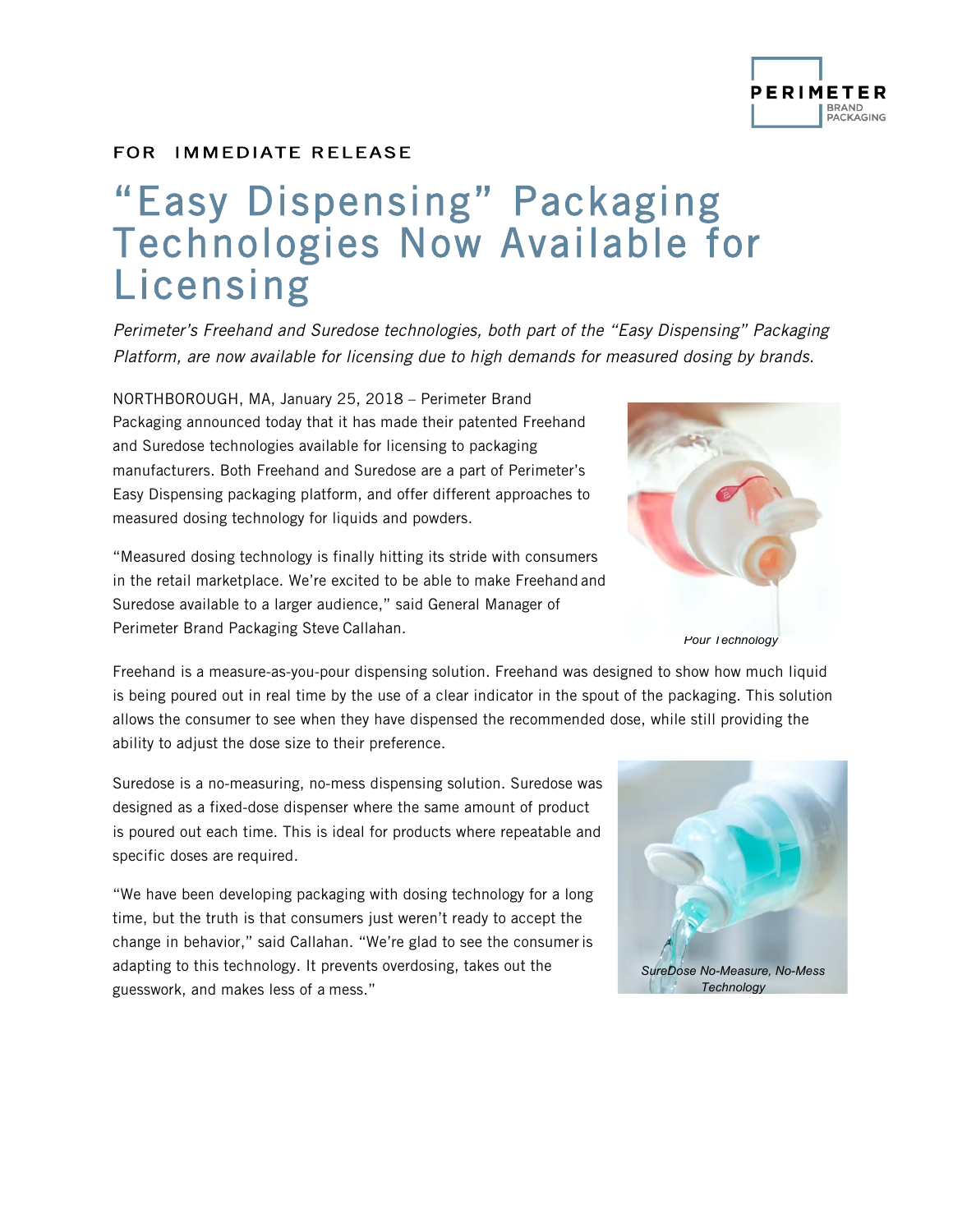## **PERIMETER** BRAND<br>PACKAGING

### FOR IMMEDIATE RELEASE

# "Easy Dispensing" Packaging Technologies Now Available for Licensing

*Perimeter's Freehand and Suredose technologies, both part of the "Easy Dispensing" Packaging Platform, are now available for licensing due to high demands for measured dosing by brands.*

NORTHBOROUGH, MA, January 25, 2018 – Perimeter Brand Packaging announced today that it has made their patented Freehand and Suredose technologies available for licensing to packaging manufacturers. Both Freehand and Suredose are a part of Perimeter's Easy Dispensing packaging platform, and offer different approaches to measured dosing technology for liquids and powders.

"Measured dosing technology is finally hitting its stride with consumers in the retail marketplace. We're excited to be able to make Freehand and Suredose available to a larger audience," said General Manager of Perimeter Brand Packaging Steve Callahan.

Freehand is a measure-as-you-pour dispensing solution. Freehand was designed to show how much liquid is being poured out in real time by the use of a clear indicator in the spout of the packaging. This solution allows the consumer to see when they have dispensed the recommended dose, while still providing the ability to adjust the dose size to their preference.

Suredose is a no-measuring, no-mess dispensing solution. Suredose was designed as a fixed-dose dispenser where the same amount of product is poured out each time. This is ideal for products where repeatable and specific doses are required.

"We have been developing packaging with dosing technology for a long time, but the truth is that consumers just weren't ready to accept the change in behavior," said Callahan. "We're glad to see the consumeris adapting to this technology. It prevents overdosing, takes out the guesswork, and makes less of a mess."







*Pour Technology*